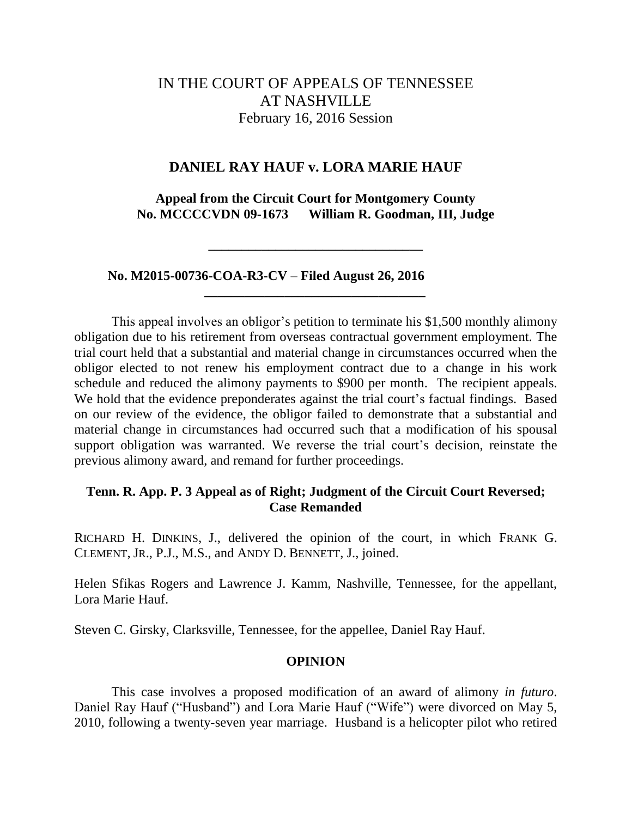# IN THE COURT OF APPEALS OF TENNESSEE AT NASHVILLE February 16, 2016 Session

### **DANIEL RAY HAUF v. LORA MARIE HAUF**

**Appeal from the Circuit Court for Montgomery County No. MCCCCVDN 09-1673 William R. Goodman, III, Judge**

**\_\_\_\_\_\_\_\_\_\_\_\_\_\_\_\_\_\_\_\_\_\_\_\_\_\_\_\_\_\_\_\_**

**\_\_\_\_\_\_\_\_\_\_\_\_\_\_\_\_\_\_\_\_\_\_\_\_\_\_\_\_\_\_\_\_\_**

 **No. M2015-00736-COA-R3-CV – Filed August 26, 2016**

This appeal involves an obligor's petition to terminate his \$1,500 monthly alimony obligation due to his retirement from overseas contractual government employment. The trial court held that a substantial and material change in circumstances occurred when the obligor elected to not renew his employment contract due to a change in his work schedule and reduced the alimony payments to \$900 per month. The recipient appeals. We hold that the evidence preponderates against the trial court's factual findings. Based on our review of the evidence, the obligor failed to demonstrate that a substantial and material change in circumstances had occurred such that a modification of his spousal support obligation was warranted. We reverse the trial court's decision, reinstate the previous alimony award, and remand for further proceedings.

## **Tenn. R. App. P. 3 Appeal as of Right; Judgment of the Circuit Court Reversed; Case Remanded**

RICHARD H. DINKINS, J., delivered the opinion of the court, in which FRANK G. CLEMENT, JR., P.J., M.S., and ANDY D. BENNETT, J., joined.

Helen Sfikas Rogers and Lawrence J. Kamm, Nashville, Tennessee, for the appellant, Lora Marie Hauf.

Steven C. Girsky, Clarksville, Tennessee, for the appellee, Daniel Ray Hauf.

### **OPINION**

This case involves a proposed modification of an award of alimony *in futuro*. Daniel Ray Hauf ("Husband") and Lora Marie Hauf ("Wife") were divorced on May 5, 2010, following a twenty-seven year marriage. Husband is a helicopter pilot who retired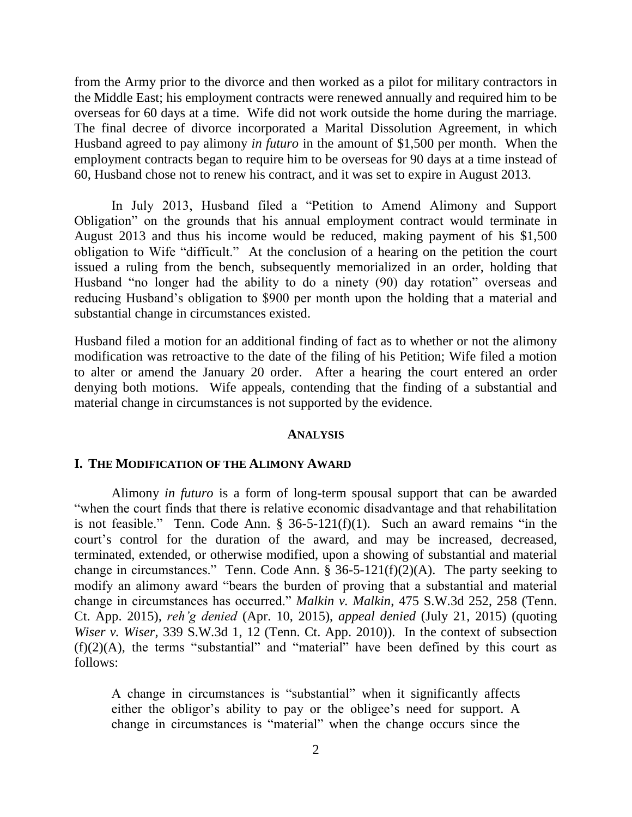from the Army prior to the divorce and then worked as a pilot for military contractors in the Middle East; his employment contracts were renewed annually and required him to be overseas for 60 days at a time. Wife did not work outside the home during the marriage. The final decree of divorce incorporated a Marital Dissolution Agreement, in which Husband agreed to pay alimony *in futuro* in the amount of \$1,500 per month. When the employment contracts began to require him to be overseas for 90 days at a time instead of 60, Husband chose not to renew his contract, and it was set to expire in August 2013.

In July 2013, Husband filed a "Petition to Amend Alimony and Support Obligation" on the grounds that his annual employment contract would terminate in August 2013 and thus his income would be reduced, making payment of his \$1,500 obligation to Wife "difficult." At the conclusion of a hearing on the petition the court issued a ruling from the bench, subsequently memorialized in an order, holding that Husband "no longer had the ability to do a ninety (90) day rotation" overseas and reducing Husband's obligation to \$900 per month upon the holding that a material and substantial change in circumstances existed.

Husband filed a motion for an additional finding of fact as to whether or not the alimony modification was retroactive to the date of the filing of his Petition; Wife filed a motion to alter or amend the January 20 order. After a hearing the court entered an order denying both motions. Wife appeals, contending that the finding of a substantial and material change in circumstances is not supported by the evidence.

#### **ANALYSIS**

#### **I. THE MODIFICATION OF THE ALIMONY AWARD**

Alimony *in futuro* is a form of long-term spousal support that can be awarded ―when the court finds that there is relative economic disadvantage and that rehabilitation is not feasible." Tenn. Code Ann.  $\S$  36-5-121(f)(1). Such an award remains "in the court's control for the duration of the award, and may be increased, decreased, terminated, extended, or otherwise modified, upon a showing of substantial and material change in circumstances." Tenn. Code Ann.  $\bar{\S}$  36-5-121(f)(2)(A). The party seeking to modify an alimony award "bears the burden of proving that a substantial and material change in circumstances has occurred." *Malkin v. Malkin*, 475 S.W.3d 252, 258 (Tenn.) Ct. App. 2015), *reh'g denied* (Apr. 10, 2015), *appeal denied* (July 21, 2015) (quoting *Wiser v. Wiser,* 339 S.W.3d 1, 12 (Tenn. Ct. App. 2010)). In the context of subsection  $(f)(2)(A)$ , the terms "substantial" and "material" have been defined by this court as follows:

A change in circumstances is "substantial" when it significantly affects either the obligor's ability to pay or the obligee's need for support. A change in circumstances is "material" when the change occurs since the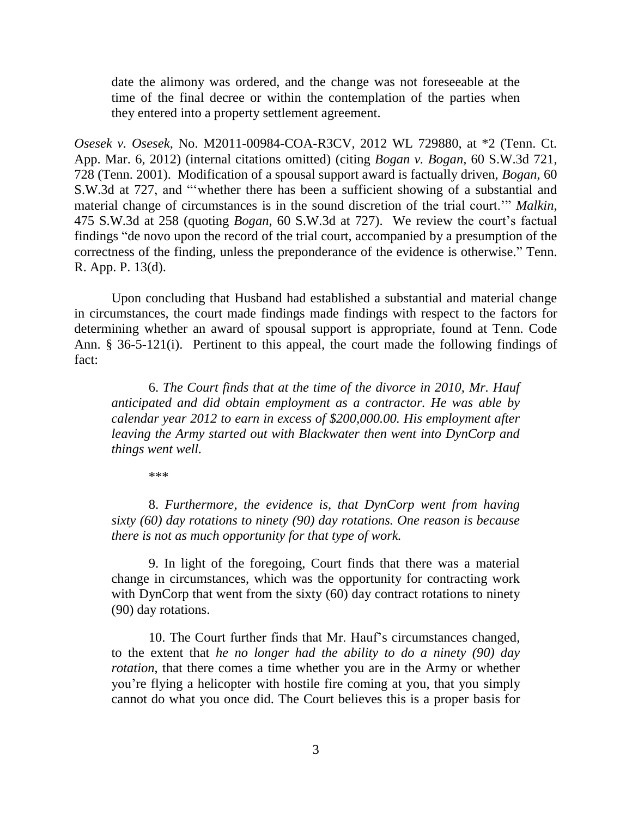date the alimony was ordered, and the change was not foreseeable at the time of the final decree or within the contemplation of the parties when they entered into a property settlement agreement.

*Osesek v. Osesek*, No. M2011-00984-COA-R3CV, 2012 WL 729880, at \*2 (Tenn. Ct. App. Mar. 6, 2012) (internal citations omitted) (citing *Bogan v. Bogan,* 60 S.W.3d 721, 728 (Tenn. 2001). Modification of a spousal support award is factually driven, *Bogan*, 60 S.W.3d at 727, and "whether there has been a sufficient showing of a substantial and material change of circumstances is in the sound discretion of the trial court.<sup>"</sup> *Malkin*, 475 S.W.3d at 258 (quoting *Bogan,* 60 S.W.3d at 727). We review the court's factual findings "de novo upon the record of the trial court, accompanied by a presumption of the correctness of the finding, unless the preponderance of the evidence is otherwise." Tenn. R. App. P. 13(d).

Upon concluding that Husband had established a substantial and material change in circumstances, the court made findings made findings with respect to the factors for determining whether an award of spousal support is appropriate, found at Tenn. Code Ann. § 36-5-121(i). Pertinent to this appeal, the court made the following findings of fact:

6. *The Court finds that at the time of the divorce in 2010, Mr. Hauf anticipated and did obtain employment as a contractor. He was able by calendar year 2012 to earn in excess of \$200,000.00. His employment after leaving the Army started out with Blackwater then went into DynCorp and things went well.*

\*\*\*

8. *Furthermore, the evidence is, that DynCorp went from having sixty (60) day rotations to ninety (90) day rotations. One reason is because there is not as much opportunity for that type of work.*

9. In light of the foregoing, Court finds that there was a material change in circumstances, which was the opportunity for contracting work with DynCorp that went from the sixty (60) day contract rotations to ninety (90) day rotations.

10. The Court further finds that Mr. Hauf's circumstances changed, to the extent that *he no longer had the ability to do a ninety (90) day rotation*, that there comes a time whether you are in the Army or whether you're flying a helicopter with hostile fire coming at you, that you simply cannot do what you once did. The Court believes this is a proper basis for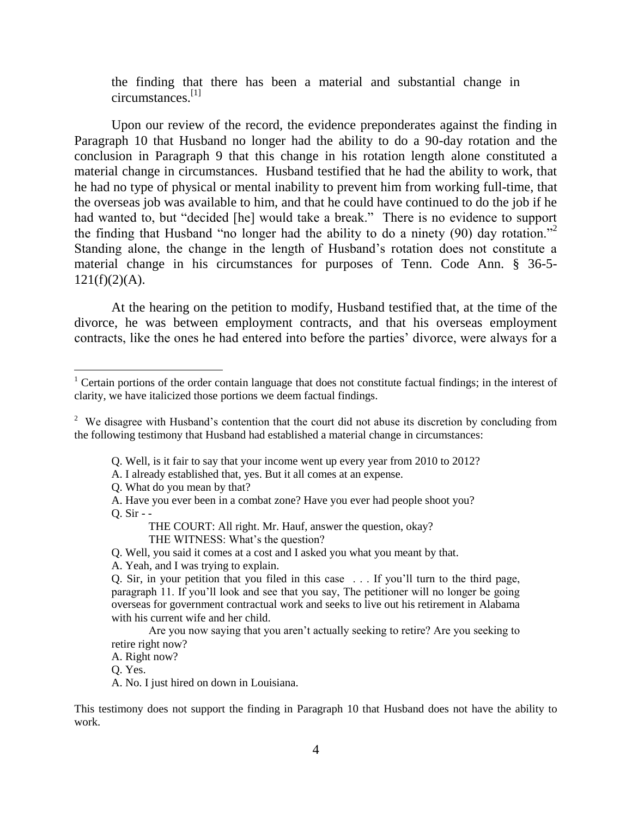the finding that there has been a material and substantial change in circumstances.[1]

Upon our review of the record, the evidence preponderates against the finding in Paragraph 10 that Husband no longer had the ability to do a 90-day rotation and the conclusion in Paragraph 9 that this change in his rotation length alone constituted a material change in circumstances. Husband testified that he had the ability to work, that he had no type of physical or mental inability to prevent him from working full-time, that the overseas job was available to him, and that he could have continued to do the job if he had wanted to, but "decided [he] would take a break." There is no evidence to support the finding that Husband "no longer had the ability to do a ninety (90) day rotation." Standing alone, the change in the length of Husband's rotation does not constitute a material change in his circumstances for purposes of Tenn. Code Ann. § 36-5-  $121(f)(2)(A)$ .

At the hearing on the petition to modify, Husband testified that, at the time of the divorce, he was between employment contracts, and that his overseas employment contracts, like the ones he had entered into before the parties' divorce, were always for a

- Q. Well, is it fair to say that your income went up every year from 2010 to 2012?
- A. I already established that, yes. But it all comes at an expense.
- Q. What do you mean by that?
- A. Have you ever been in a combat zone? Have you ever had people shoot you?  $O.$  Sir - -

THE COURT: All right. Mr. Hauf, answer the question, okay?

THE WITNESS: What's the question?

Q. Well, you said it comes at a cost and I asked you what you meant by that.

A. Yeah, and I was trying to explain.

Are you now saying that you aren't actually seeking to retire? Are you seeking to retire right now?

A. Right now?

Q. Yes.

A. No. I just hired on down in Louisiana.

This testimony does not support the finding in Paragraph 10 that Husband does not have the ability to work.

 $1$  Certain portions of the order contain language that does not constitute factual findings; in the interest of clarity, we have italicized those portions we deem factual findings.

<sup>&</sup>lt;sup>2</sup> We disagree with Husband's contention that the court did not abuse its discretion by concluding from the following testimony that Husband had established a material change in circumstances:

Q. Sir, in your petition that you filed in this case . . . If you'll turn to the third page, paragraph 11. If you'll look and see that you say, The petitioner will no longer be going overseas for government contractual work and seeks to live out his retirement in Alabama with his current wife and her child.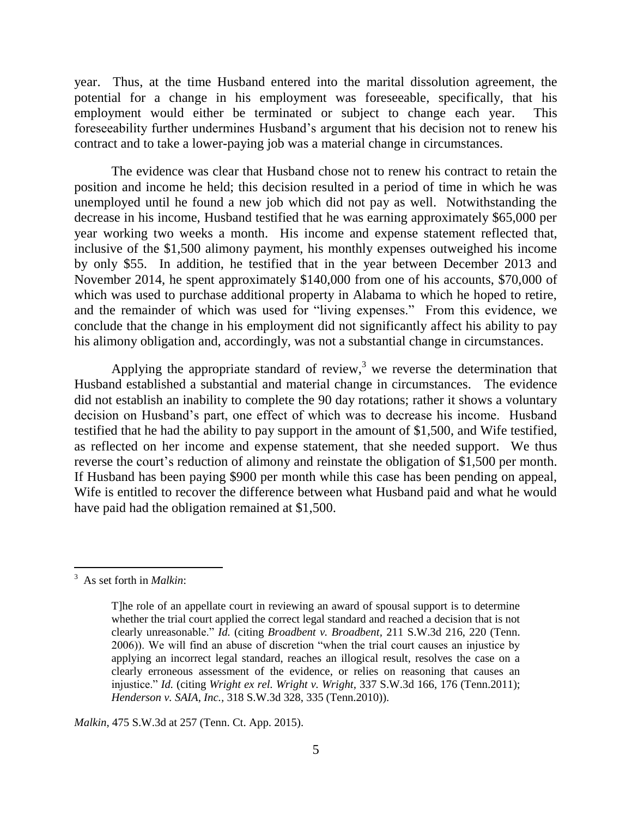year. Thus, at the time Husband entered into the marital dissolution agreement, the potential for a change in his employment was foreseeable, specifically, that his employment would either be terminated or subject to change each year. This foreseeability further undermines Husband's argument that his decision not to renew his contract and to take a lower-paying job was a material change in circumstances.

The evidence was clear that Husband chose not to renew his contract to retain the position and income he held; this decision resulted in a period of time in which he was unemployed until he found a new job which did not pay as well. Notwithstanding the decrease in his income, Husband testified that he was earning approximately \$65,000 per year working two weeks a month. His income and expense statement reflected that, inclusive of the \$1,500 alimony payment, his monthly expenses outweighed his income by only \$55. In addition, he testified that in the year between December 2013 and November 2014, he spent approximately \$140,000 from one of his accounts, \$70,000 of which was used to purchase additional property in Alabama to which he hoped to retire, and the remainder of which was used for "living expenses." From this evidence, we conclude that the change in his employment did not significantly affect his ability to pay his alimony obligation and, accordingly, was not a substantial change in circumstances.

Applying the appropriate standard of review,<sup>3</sup> we reverse the determination that Husband established a substantial and material change in circumstances. The evidence did not establish an inability to complete the 90 day rotations; rather it shows a voluntary decision on Husband's part, one effect of which was to decrease his income. Husband testified that he had the ability to pay support in the amount of \$1,500, and Wife testified, as reflected on her income and expense statement, that she needed support. We thus reverse the court's reduction of alimony and reinstate the obligation of \$1,500 per month. If Husband has been paying \$900 per month while this case has been pending on appeal, Wife is entitled to recover the difference between what Husband paid and what he would have paid had the obligation remained at \$1,500.

*Malkin*, 475 S.W.3d at 257 (Tenn. Ct. App. 2015).

<sup>3</sup> As set forth in *Malkin*:

T]he role of an appellate court in reviewing an award of spousal support is to determine whether the trial court applied the correct legal standard and reached a decision that is not clearly unreasonable." *Id.* (citing *Broadbent v. Broadbent,* 211 S.W.3d 216, 220 (Tenn. 2006)). We will find an abuse of discretion "when the trial court causes an injustice by applying an incorrect legal standard, reaches an illogical result, resolves the case on a clearly erroneous assessment of the evidence, or relies on reasoning that causes an injustice." *Id.* (citing *Wright ex rel. Wright v. Wright,* 337 S.W.3d 166, 176 (Tenn.2011); *Henderson v. SAIA, Inc.,* 318 S.W.3d 328, 335 (Tenn.2010)).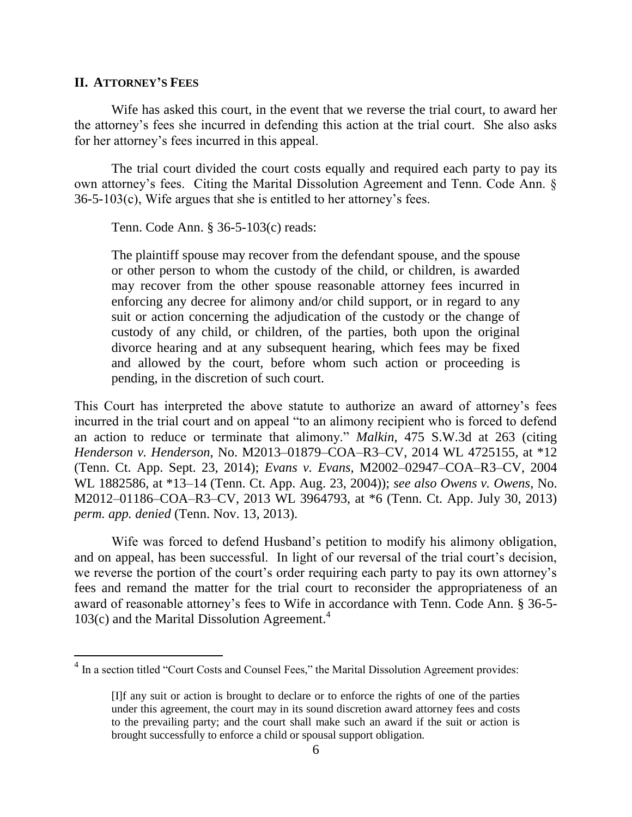#### **II. ATTORNEY'S FEES**

Wife has asked this court, in the event that we reverse the trial court, to award her the attorney's fees she incurred in defending this action at the trial court. She also asks for her attorney's fees incurred in this appeal.

The trial court divided the court costs equally and required each party to pay its own attorney's fees. Citing the Marital Dissolution Agreement and Tenn. Code Ann. § 36-5-103(c), Wife argues that she is entitled to her attorney's fees.

Tenn. Code Ann. § 36-5-103(c) reads:

The plaintiff spouse may recover from the defendant spouse, and the spouse or other person to whom the custody of the child, or children, is awarded may recover from the other spouse reasonable attorney fees incurred in enforcing any decree for alimony and/or child support, or in regard to any suit or action concerning the adjudication of the custody or the change of custody of any child, or children, of the parties, both upon the original divorce hearing and at any subsequent hearing, which fees may be fixed and allowed by the court, before whom such action or proceeding is pending, in the discretion of such court.

This Court has interpreted the above statute to authorize an award of attorney's fees incurred in the trial court and on appeal "to an alimony recipient who is forced to defend an action to reduce or terminate that alimony." *Malkin*, 475 S.W.3d at 263 (citing *Henderson v. Henderson,* No. M2013–01879–COA–R3–CV, 2014 WL 4725155, at \*12 (Tenn. Ct. App. Sept. 23, 2014); *Evans v. Evans,* M2002–02947–COA–R3–CV, 2004 WL 1882586, at \*13–14 (Tenn. Ct. App. Aug. 23, 2004)); *see also Owens v. Owens,* No. M2012–01186–COA–R3–CV, 2013 WL 3964793, at \*6 (Tenn. Ct. App. July 30, 2013) *perm. app. denied* (Tenn. Nov. 13, 2013).

Wife was forced to defend Husband's petition to modify his alimony obligation, and on appeal, has been successful. In light of our reversal of the trial court's decision, we reverse the portion of the court's order requiring each party to pay its own attorney's fees and remand the matter for the trial court to reconsider the appropriateness of an award of reasonable attorney's fees to Wife in accordance with Tenn. Code Ann. § 36-5- 103(c) and the Marital Dissolution Agreement.<sup>4</sup>

<sup>&</sup>lt;sup>4</sup> In a section titled "Court Costs and Counsel Fees," the Marital Dissolution Agreement provides:

<sup>[</sup>I]f any suit or action is brought to declare or to enforce the rights of one of the parties under this agreement, the court may in its sound discretion award attorney fees and costs to the prevailing party; and the court shall make such an award if the suit or action is brought successfully to enforce a child or spousal support obligation.